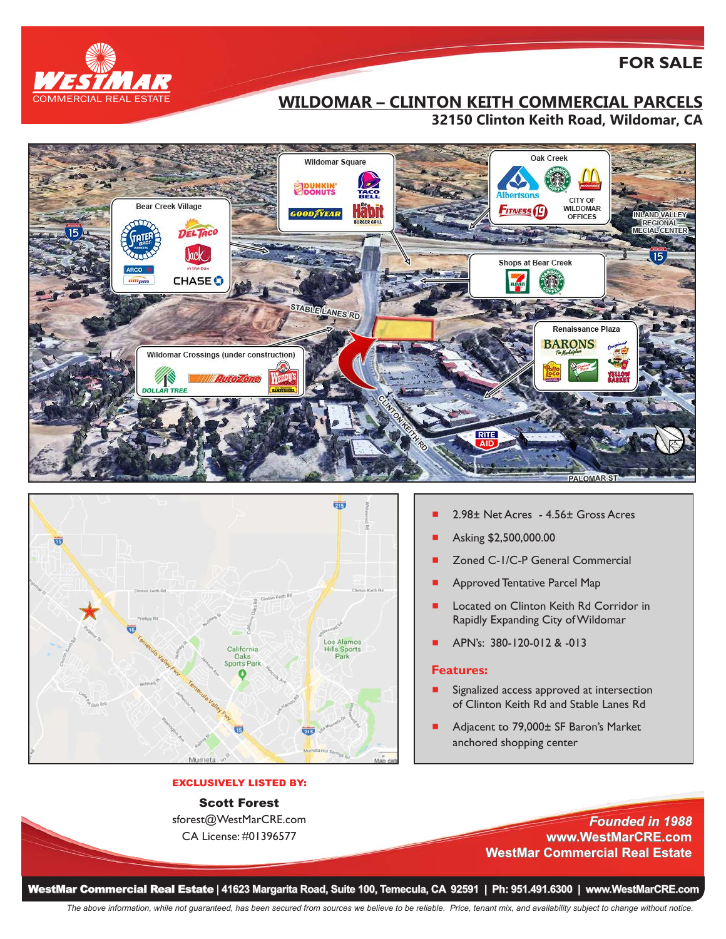

# **FOR SALE**

# **WILDOMAR – CLINTON KEITH COMMERCIAL PARCELS 32150 Clinton Keith Road, Wildomar, CA**





### EXCLUSIVELY LISTED BY:

## Scott Forest

sforest@WestMarCRE.com CA License: #01396577

- 2.98± Net Acres 4.56± Gross Acres
- Asking \$2,500,000.00
- Zoned C-1/C-P General Commercial
- Approved Tentative Parcel Map
- Located on Clinton Keith Rd Corridor in Rapidly Expanding City of Wildomar
- # APN's: 380-120-012 & -013

#### **Features:**

- Signalized access approved at intersection of Clinton Keith Rd and Stable Lanes Rd
- Adjacent to 79,000± SF Baron's Market anchored shopping center
	- *Founded in 1988* **www.WestMarCRE.com WestMar Commercial Real Estate**

WestMar Commercial Real Estate **| 41623 Margarita Road, Suite 100, Temecula, CA 92591 | Ph: 951.491.6300 | www.WestMarCRE.com**

*The above information, while not guaranteed, has been secured from sources we believe to be reliable. Price, tenant mix, and availability subject to change without notice.*